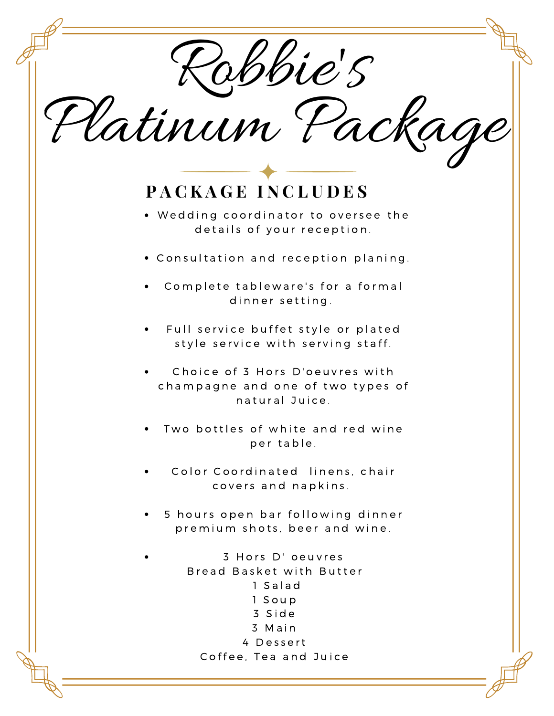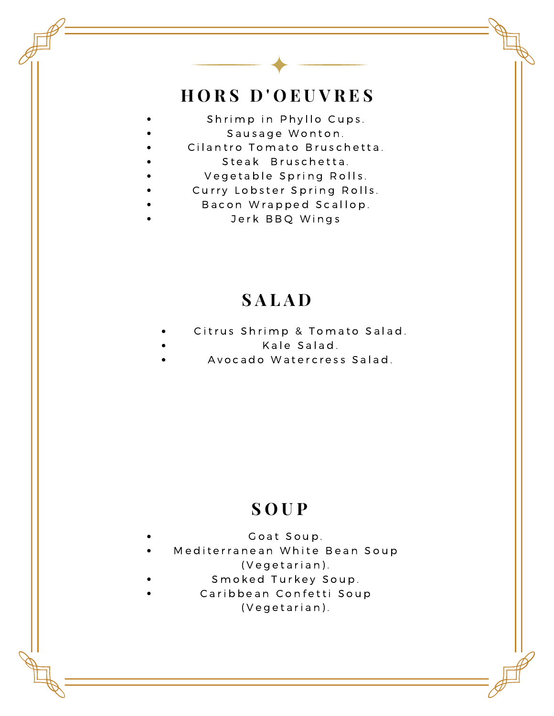#### **H O R S D ' O E U V R E S**

- Shrimp in Phyllo Cups.
	- Sausage Wonton.
- Cilantro Tomato Bruschetta.
	- Steak Bruschetta.
- Vegetable Spring Rolls.
- Curry Lobster Spring Rolls.
- Bacon Wrapped Scallop.
- Jerk BBQ Wings

### **S A L A D**

- Citrus Shrimp & Tomato Salad.
	- Kale Salad.
- Avocado Watercress Salad.

#### **S O U P**

#### Goat Soup.

- Mediterranean White Bean Soup
	- (Vegetarian).
	- Smoked Turkey Soup.
	- Caribbean Confetti Soup

(Vegetarian).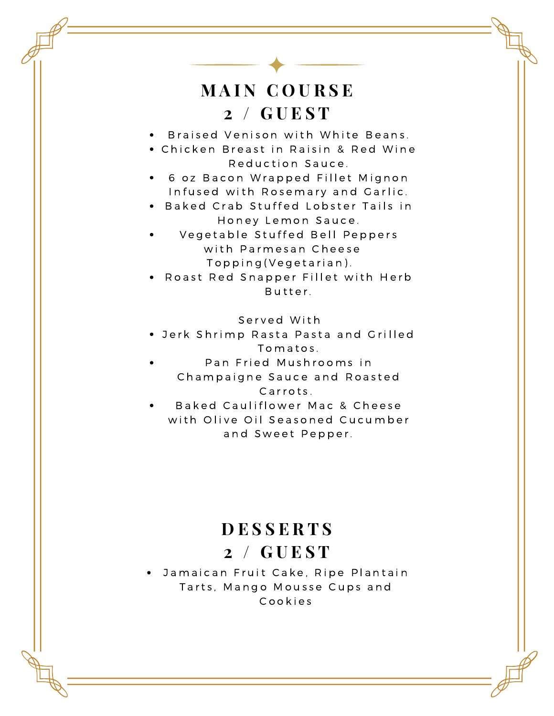## **M A I N C O U R S E 2 / G U E S T**

- Braised Venison with White Beans.
- **Chicken Breast in Raisin & Red Wine** Reduction Sauce.
- 6 oz Bacon Wrapped Fillet Mignon Infused with Rosemary and Garlic.
- Baked Crab Stuffed Lobster Tails in Honey Lemon Sauce.
- Vegetable Stuffed Bell Peppers with Parmesan Cheese Topping (Vegetarian).
- Roast Red Snapper Fillet with Herb Butter.

#### Served With

- Jerk Shrimp Rasta Pasta and Grilled T o m a t o s .
- Pan Fried Mushrooms in Champaigne Sauce and Roasted Carrots.
- Baked Cauliflower Mac & Cheese with Olive Oil Seasoned Cucumber and Sweet Pepper.

### **D E S S E R T S 2 / G U E S T**

• Jamaican Fruit Cake, Ripe Plantain Tarts, Mango Mousse Cups and C o o k i e s